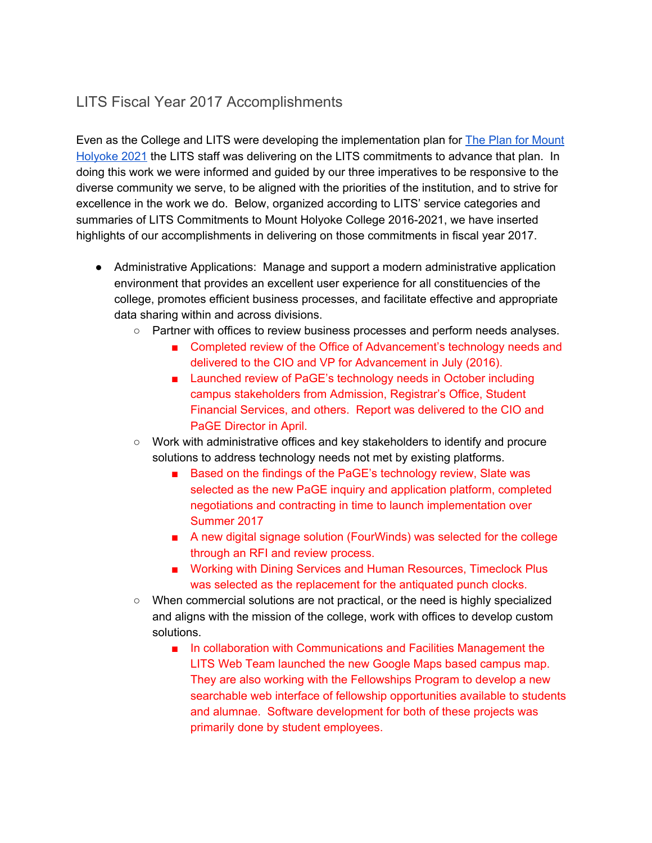## LITS Fiscal Year 2017 Accomplishments

Even as the College and LITS were developing the implementation plan for The Plan for [Mount](https://www.mtholyoke.edu/iplanning/strategic-plan-summary) [Holyoke](https://www.mtholyoke.edu/iplanning/strategic-plan-summary) 2021 the LITS staff was delivering on the LITS commitments to advance that plan. In doing this work we were informed and guided by our three imperatives to be responsive to the diverse community we serve, to be aligned with the priorities of the institution, and to strive for excellence in the work we do. Below, organized according to LITS' service categories and summaries of LITS Commitments to Mount Holyoke College 2016-2021, we have inserted highlights of our accomplishments in delivering on those commitments in fiscal year 2017.

- Administrative Applications: Manage and support a modern administrative application environment that provides an excellent user experience for all constituencies of the college, promotes efficient business processes, and facilitate effective and appropriate data sharing within and across divisions.
	- Partner with offices to review business processes and perform needs analyses.
		- Completed review of the Office of Advancement's technology needs and delivered to the CIO and VP for Advancement in July (2016).
		- Launched review of PaGE's technology needs in October including campus stakeholders from Admission, Registrar's Office, Student Financial Services, and others. Report was delivered to the CIO and PaGE Director in April.
	- Work with administrative offices and key stakeholders to identify and procure solutions to address technology needs not met by existing platforms.
		- Based on the findings of the PaGE's technology review, Slate was selected as the new PaGE inquiry and application platform, completed negotiations and contracting in time to launch implementation over Summer 2017
		- A new digital signage solution (FourWinds) was selected for the college through an RFI and review process.
		- Working with Dining Services and Human Resources, Timeclock Plus was selected as the replacement for the antiquated punch clocks.
	- When commercial solutions are not practical, or the need is highly specialized and aligns with the mission of the college, work with offices to develop custom solutions.
		- In collaboration with Communications and Facilities Management the LITS Web Team launched the new Google Maps based campus map. They are also working with the Fellowships Program to develop a new searchable web interface of fellowship opportunities available to students and alumnae. Software development for both of these projects was primarily done by student employees.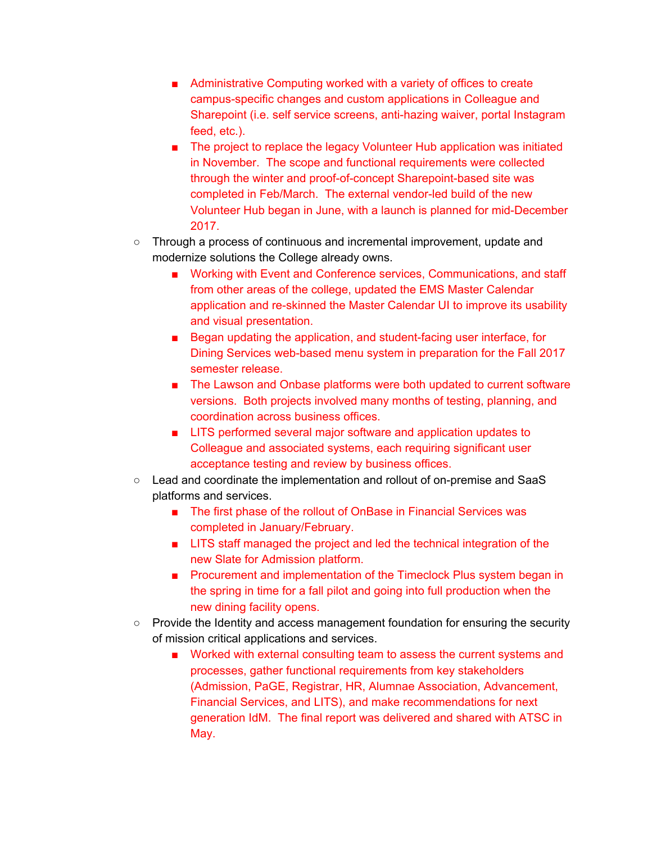- Administrative Computing worked with a variety of offices to create campus-specific changes and custom applications in Colleague and Sharepoint (i.e. self service screens, anti-hazing waiver, portal Instagram feed, etc.).
- The project to replace the legacy Volunteer Hub application was initiated in November. The scope and functional requirements were collected through the winter and proof-of-concept Sharepoint-based site was completed in Feb/March. The external vendor-led build of the new Volunteer Hub began in June, with a launch is planned for mid-December 2017.
- Through a process of continuous and incremental improvement, update and modernize solutions the College already owns.
	- Working with Event and Conference services, Communications, and staff from other areas of the college, updated the EMS Master Calendar application and re-skinned the Master Calendar UI to improve its usability and visual presentation.
	- Began updating the application, and student-facing user interface, for Dining Services web-based menu system in preparation for the Fall 2017 semester release.
	- The Lawson and Onbase platforms were both updated to current software versions. Both projects involved many months of testing, planning, and coordination across business offices.
	- LITS performed several major software and application updates to Colleague and associated systems, each requiring significant user acceptance testing and review by business offices.
- Lead and coordinate the implementation and rollout of on-premise and SaaS platforms and services.
	- The first phase of the rollout of OnBase in Financial Services was completed in January/February.
	- LITS staff managed the project and led the technical integration of the new Slate for Admission platform.
	- Procurement and implementation of the Timeclock Plus system began in the spring in time for a fall pilot and going into full production when the new dining facility opens.
- Provide the Identity and access management foundation for ensuring the security of mission critical applications and services.
	- Worked with external consulting team to assess the current systems and processes, gather functional requirements from key stakeholders (Admission, PaGE, Registrar, HR, Alumnae Association, Advancement, Financial Services, and LITS), and make recommendations for next generation IdM. The final report was delivered and shared with ATSC in May.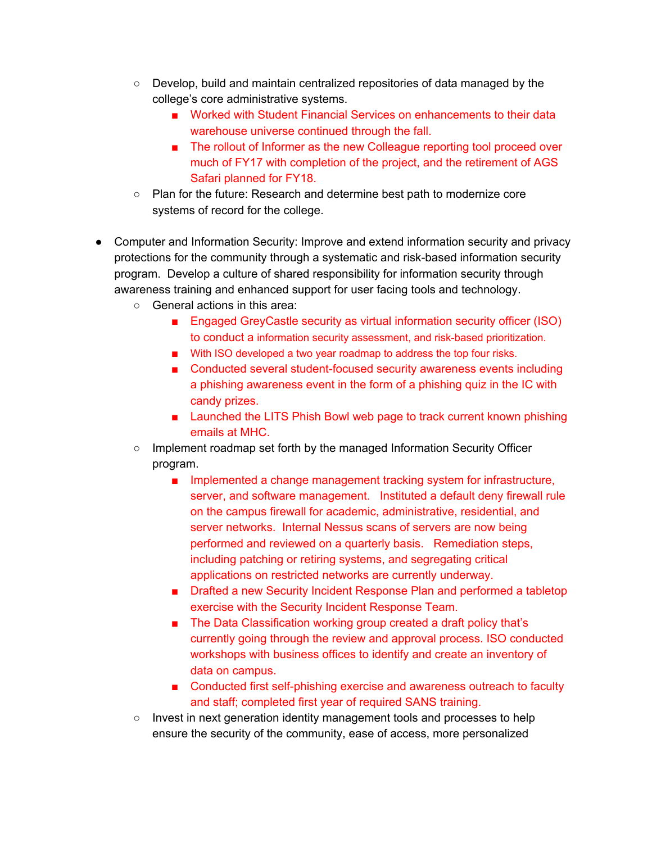- Develop, build and maintain centralized repositories of data managed by the college's core administrative systems.
	- Worked with Student Financial Services on enhancements to their data warehouse universe continued through the fall.
	- The rollout of Informer as the new Colleague reporting tool proceed over much of FY17 with completion of the project, and the retirement of AGS Safari planned for FY18.
- Plan for the future: Research and determine best path to modernize core systems of record for the college.
- Computer and Information Security: Improve and extend information security and privacy protections for the community through a systematic and risk-based information security program. Develop a culture of shared responsibility for information security through awareness training and enhanced support for user facing tools and technology.
	- General actions in this area:
		- Engaged GreyCastle security as virtual information security officer (ISO) to conduct a information security assessment, and risk-based prioritization.
		- With ISO developed a two year roadmap to address the top four risks.
		- Conducted several student-focused security awareness events including a phishing awareness event in the form of a phishing quiz in the IC with candy prizes.
		- Launched the LITS Phish Bowl web page to track current known phishing emails at MHC.
	- Implement roadmap set forth by the managed Information Security Officer program.
		- Implemented a change management tracking system for infrastructure, server, and software management. Instituted a default deny firewall rule on the campus firewall for academic, administrative, residential, and server networks. Internal Nessus scans of servers are now being performed and reviewed on a quarterly basis. Remediation steps, including patching or retiring systems, and segregating critical applications on restricted networks are currently underway.
		- Drafted a new Security Incident Response Plan and performed a tabletop exercise with the Security Incident Response Team.
		- The Data Classification working group created a draft policy that's currently going through the review and approval process. ISO conducted workshops with business offices to identify and create an inventory of data on campus.
		- Conducted first self-phishing exercise and awareness outreach to faculty and staff; completed first year of required SANS training.
	- Invest in next generation identity management tools and processes to help ensure the security of the community, ease of access, more personalized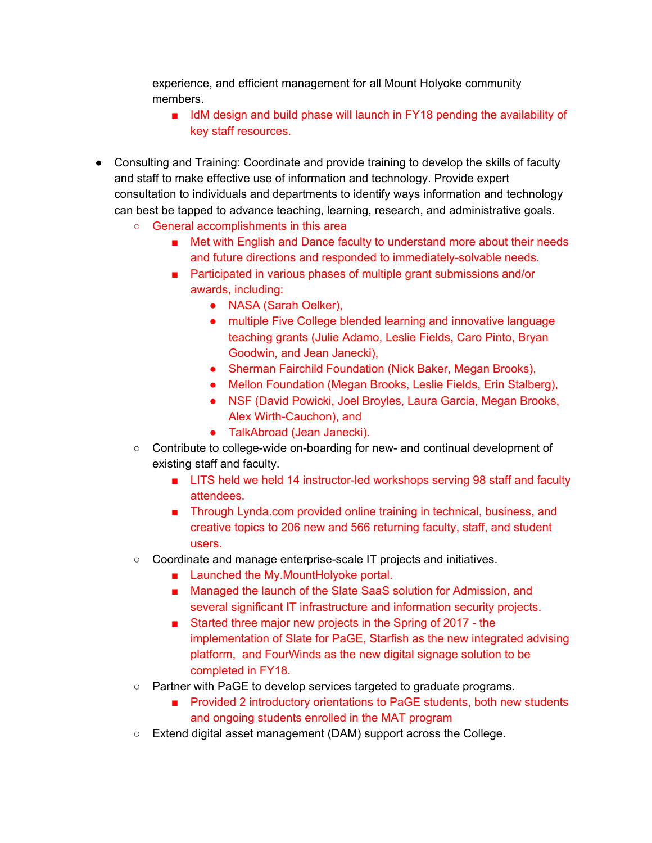experience, and efficient management for all Mount Holyoke community members.

- IdM design and build phase will launch in FY18 pending the availability of key staff resources.
- Consulting and Training: Coordinate and provide training to develop the skills of faculty and staff to make effective use of information and technology. Provide expert consultation to individuals and departments to identify ways information and technology can best be tapped to advance teaching, learning, research, and administrative goals.
	- General accomplishments in this area
		- Met with English and Dance faculty to understand more about their needs and future directions and responded to immediately-solvable needs.
		- Participated in various phases of multiple grant submissions and/or awards, including:
			- NASA (Sarah Oelker),
			- multiple Five College blended learning and innovative language teaching grants (Julie Adamo, Leslie Fields, Caro Pinto, Bryan Goodwin, and Jean Janecki),
			- Sherman Fairchild Foundation (Nick Baker, Megan Brooks),
			- Mellon Foundation (Megan Brooks, Leslie Fields, Erin Stalberg),
			- NSF (David Powicki, Joel Broyles, Laura Garcia, Megan Brooks, Alex Wirth-Cauchon), and
			- TalkAbroad (Jean Janecki).
	- Contribute to college-wide on-boarding for new- and continual development of existing staff and faculty.
		- LITS held we held 14 instructor-led workshops serving 98 staff and faculty attendees.
		- Through Lynda.com provided online training in technical, business, and creative topics to 206 new and 566 returning faculty, staff, and student users.
	- Coordinate and manage enterprise-scale IT projects and initiatives.
		- Launched the My.MountHolyoke portal.
		- Managed the launch of the Slate SaaS solution for Admission, and several significant IT infrastructure and information security projects.
		- Started three major new projects in the Spring of 2017 the implementation of Slate for PaGE, Starfish as the new integrated advising platform, and FourWinds as the new digital signage solution to be completed in FY18.
	- Partner with PaGE to develop services targeted to graduate programs.
		- Provided 2 introductory orientations to PaGE students, both new students and ongoing students enrolled in the MAT program
	- Extend digital asset management (DAM) support across the College.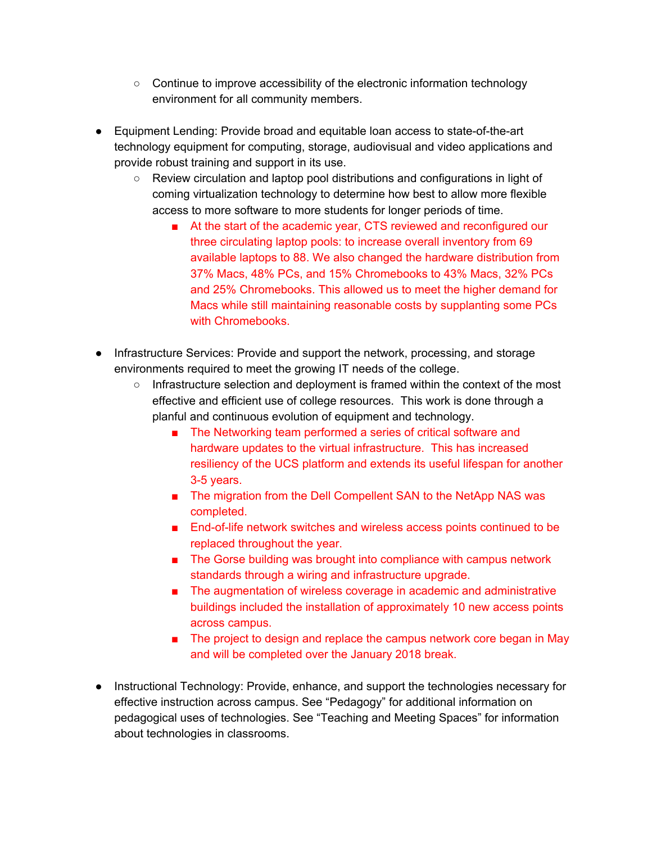- Continue to improve accessibility of the electronic information technology environment for all community members.
- Equipment Lending: Provide broad and equitable loan access to state-of-the-art technology equipment for computing, storage, audiovisual and video applications and provide robust training and support in its use.
	- Review circulation and laptop pool distributions and configurations in light of coming virtualization technology to determine how best to allow more flexible access to more software to more students for longer periods of time.
		- At the start of the academic year, CTS reviewed and reconfigured our three circulating laptop pools: to increase overall inventory from 69 available laptops to 88. We also changed the hardware distribution from 37% Macs, 48% PCs, and 15% Chromebooks to 43% Macs, 32% PCs and 25% Chromebooks. This allowed us to meet the higher demand for Macs while still maintaining reasonable costs by supplanting some PCs with Chromebooks.
- Infrastructure Services: Provide and support the network, processing, and storage environments required to meet the growing IT needs of the college.
	- Infrastructure selection and deployment is framed within the context of the most effective and efficient use of college resources. This work is done through a planful and continuous evolution of equipment and technology.
		- The Networking team performed a series of critical software and hardware updates to the virtual infrastructure. This has increased resiliency of the UCS platform and extends its useful lifespan for another 3-5 years.
		- The migration from the Dell Compellent SAN to the NetApp NAS was completed.
		- End-of-life network switches and wireless access points continued to be replaced throughout the year.
		- The Gorse building was brought into compliance with campus network standards through a wiring and infrastructure upgrade.
		- The augmentation of wireless coverage in academic and administrative buildings included the installation of approximately 10 new access points across campus.
		- The project to design and replace the campus network core began in May and will be completed over the January 2018 break.
- Instructional Technology: Provide, enhance, and support the technologies necessary for effective instruction across campus. See "Pedagogy" for additional information on pedagogical uses of technologies. See "Teaching and Meeting Spaces" for information about technologies in classrooms.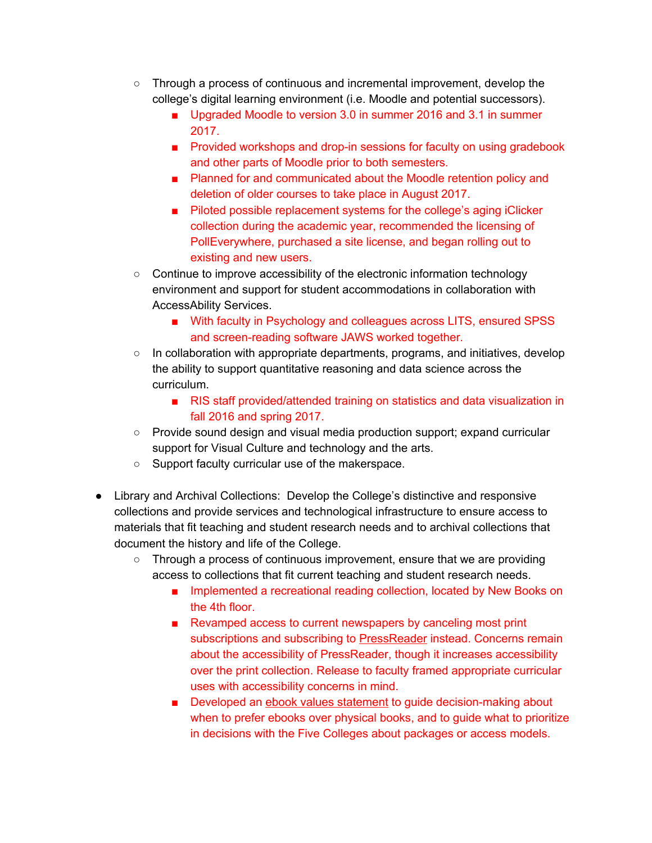- Through a process of continuous and incremental improvement, develop the college's digital learning environment (i.e. Moodle and potential successors).
	- Upgraded Moodle to version 3.0 in summer 2016 and 3.1 in summer 2017.
	- Provided workshops and drop-in sessions for faculty on using gradebook and other parts of Moodle prior to both semesters.
	- Planned for and communicated about the Moodle retention policy and deletion of older courses to take place in August 2017.
	- Piloted possible replacement systems for the college's aging iClicker collection during the academic year, recommended the licensing of PollEverywhere, purchased a site license, and began rolling out to existing and new users.
- Continue to improve accessibility of the electronic information technology environment and support for student accommodations in collaboration with AccessAbility Services.
	- With faculty in Psychology and colleagues across LITS, ensured SPSS and screen-reading software JAWS worked together.
- $\circ$  In collaboration with appropriate departments, programs, and initiatives, develop the ability to support quantitative reasoning and data science across the curriculum.
	- RIS staff provided/attended training on statistics and data visualization in fall 2016 and spring 2017.
- Provide sound design and visual media production support; expand curricular support for Visual Culture and technology and the arts.
- Support faculty curricular use of the makerspace.
- Library and Archival Collections: Develop the College's distinctive and responsive collections and provide services and technological infrastructure to ensure access to materials that fit teaching and student research needs and to archival collections that document the history and life of the College.
	- Through a process of continuous improvement, ensure that we are providing access to collections that fit current teaching and student research needs.
		- Implemented a recreational reading collection, located by New Books on the 4th floor.
		- Revamped access to current newspapers by canceling most print subscriptions and subscribing to [PressReader](http://www.mtholyoke.edu/cgi/net/do-ezproxy?libpressdisplay) instead. Concerns remain about the accessibility of PressReader, though it increases accessibility over the print collection. Release to faculty framed appropriate curricular uses with accessibility concerns in mind.
		- Developed an ebook values [statement](https://docs.google.com/document/d/1gEtbUL9_zoGLHvegmJNsuV_ZDWS6mlWKqMcnhYTMRgw/edit) to guide decision-making about when to prefer ebooks over physical books, and to guide what to prioritize in decisions with the Five Colleges about packages or access models.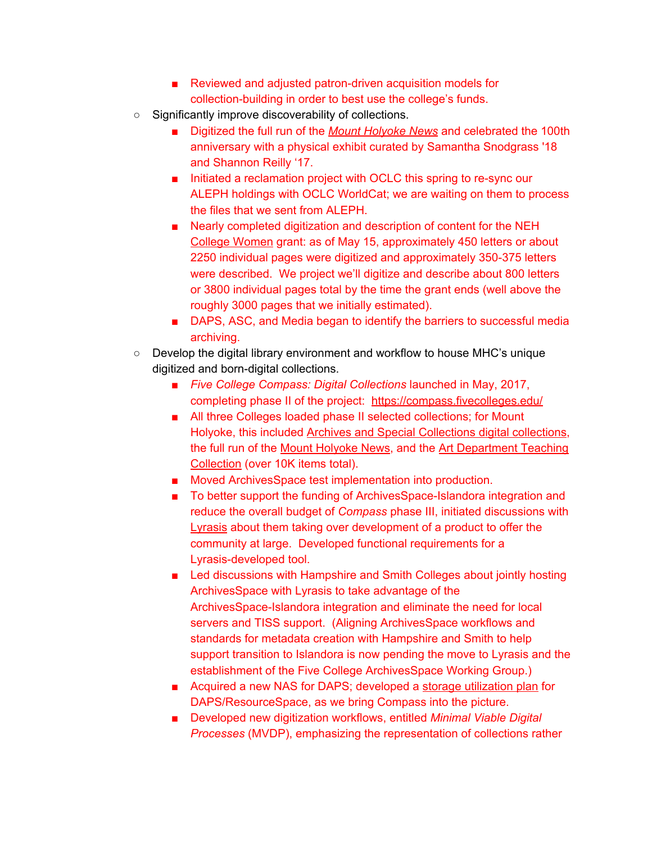- Reviewed and adjusted patron-driven acquisition models for collection-building in order to best use the college's funds.
- Significantly improve discoverability of collections.
	- Digitized the full run of the *Mount [Holyoke](https://compass.fivecolleges.edu/collections/mount-holyoke-college-student-newspaper-collection) News* and celebrated the 100th anniversary with a physical exhibit curated by Samantha Snodgrass '18 and Shannon Reilly '17.
	- Initiated a reclamation project with OCLC this spring to re-sync our ALEPH holdings with OCLC WorldCat; we are waiting on them to process the files that we sent from ALEPH.
	- Nearly completed digitization and description of content for the NEH College [Women](http://collegewomen.org/) grant: as of May 15, approximately 450 letters or about 2250 individual pages were digitized and approximately 350-375 letters were described. We project we'll digitize and describe about 800 letters or 3800 individual pages total by the time the grant ends (well above the roughly 3000 pages that we initially estimated).
	- DAPS, ASC, and Media began to identify the barriers to successful media archiving.
- $\circ$  Develop the digital library environment and workflow to house MHC's unique digitized and born-digital collections.
	- *Five College Compass: Digital Collections* launched in May, 2017, completing phase II of the project: <https://compass.fivecolleges.edu/>
	- All three Colleges loaded phase II selected collections; for Mount Holyoke, this included Archives and Special [Collections](https://compass.fivecolleges.edu/collections/archives-and-special-collections) digital collections, the full run of the Mount [Holyoke](https://compass.fivecolleges.edu/collections/mount-holyoke-college-student-newspaper-collection) News, and the Art [Department](https://compass.fivecolleges.edu/collections/art-department-teaching-collection) Teaching [Collection](https://compass.fivecolleges.edu/collections/art-department-teaching-collection) (over 10K items total).
	- Moved ArchivesSpace test implementation into production.
	- To better support the funding of ArchivesSpace-Islandora integration and reduce the overall budget of *Compass* phase III, initiated discussions with [Lyrasis](http://www.lyrasis.org/Pages/Main.aspx) about them taking over development of a product to offer the community at large. Developed functional requirements for a Lyrasis-developed tool.
	- Led discussions with Hampshire and Smith Colleges about jointly hosting ArchivesSpace with Lyrasis to take advantage of the ArchivesSpace-Islandora integration and eliminate the need for local servers and TISS support. (Aligning ArchivesSpace workflows and standards for metadata creation with Hampshire and Smith to help support transition to Islandora is now pending the move to Lyrasis and the establishment of the Five College ArchivesSpace Working Group.)
	- Acquired a new NAS for DAPS; developed a storage [utilization](https://drive.google.com/open?id=1edLWDCul0EdLERv9YwjwZKW8jogGshorZb8r6ddb9R0) plan for DAPS/ResourceSpace, as we bring Compass into the picture.
	- Developed new digitization workflows, entitled *Minimal Viable Digital Processes* (MVDP), emphasizing the representation of collections rather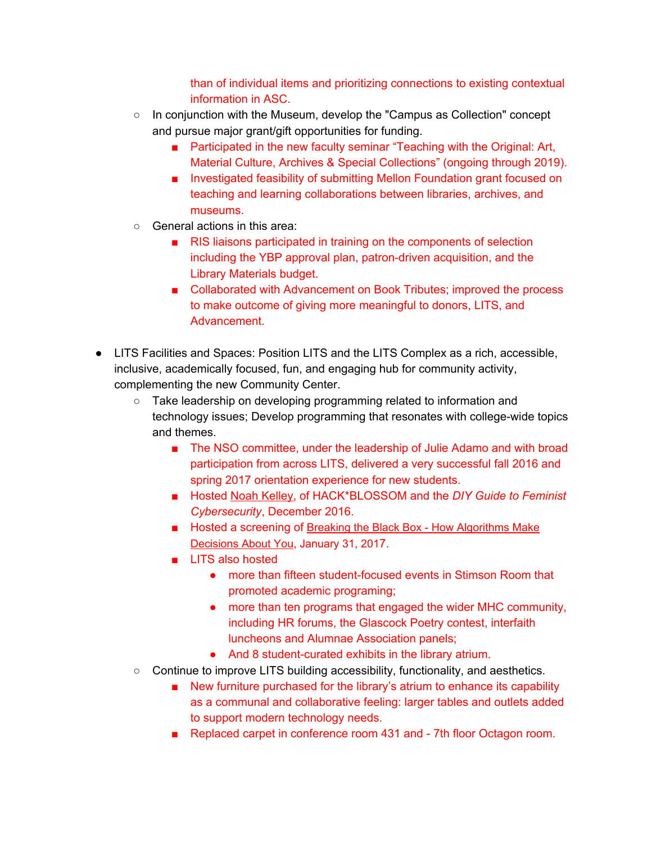than of individual items and prioritizing connections to existing contextual information in ASC.

- $\circ$  In conjunction with the Museum, develop the "Campus as Collection" concept and pursue major grant/gift opportunities for funding.
	- Participated in the new faculty seminar "Teaching with the Original: Art, Material Culture, Archives & Special Collections" (ongoing through 2019).
	- Investigated feasibility of submitting Mellon Foundation grant focused on teaching and learning collaborations between libraries, archives, and museums.
- General actions in this area:
	- RIS liaisons participated in training on the components of selection including the YBP approval plan, patron-driven acquisition, and the Library Materials budget.
	- Collaborated with Advancement on Book Tributes; improved the process to make outcome of giving more meaningful to donors, LITS, and Advancement.
- LITS Facilities and Spaces: Position LITS and the LITS Complex as a rich, accessible, inclusive, academically focused, fun, and engaging hub for community activity, complementing the new Community Center.
	- Take leadership on developing programming related to information and technology issues; Develop programming that resonates with college-wide topics and themes.
		- The NSO committee, under the leadership of Julie Adamo and with broad participation from across LITS, delivered a very successful fall 2016 and spring 2017 orientation experience for new students.
		- Hosted Noah [Kelley,](https://ida.mtholyoke.edu/xmlui/handle/10166/4010) of HACK\*BLOSSOM and the *DIY Guide to Feminist Cybersecurity*, December 2016.
		- Hosted a screening of Breaking the Black Box How [Algorithms](http://www.thegreenespace.org/story/note-self-and-propublica-breaking-black-box/) Make [Decisions](http://www.thegreenespace.org/story/note-self-and-propublica-breaking-black-box/) About You, January 31, 2017.
		- LITS also hosted
			- more than fifteen student-focused events in Stimson Room that promoted academic programing;
			- more than ten programs that engaged the wider MHC community, including HR forums, the Glascock Poetry contest, interfaith luncheons and Alumnae Association panels;
			- And 8 student-curated exhibits in the library atrium.
	- Continue to improve LITS building accessibility, functionality, and aesthetics.
		- New furniture purchased for the library's atrium to enhance its capability as a communal and collaborative feeling: larger tables and outlets added to support modern technology needs.
		- Replaced carpet in conference room 431 and 7th floor Octagon room.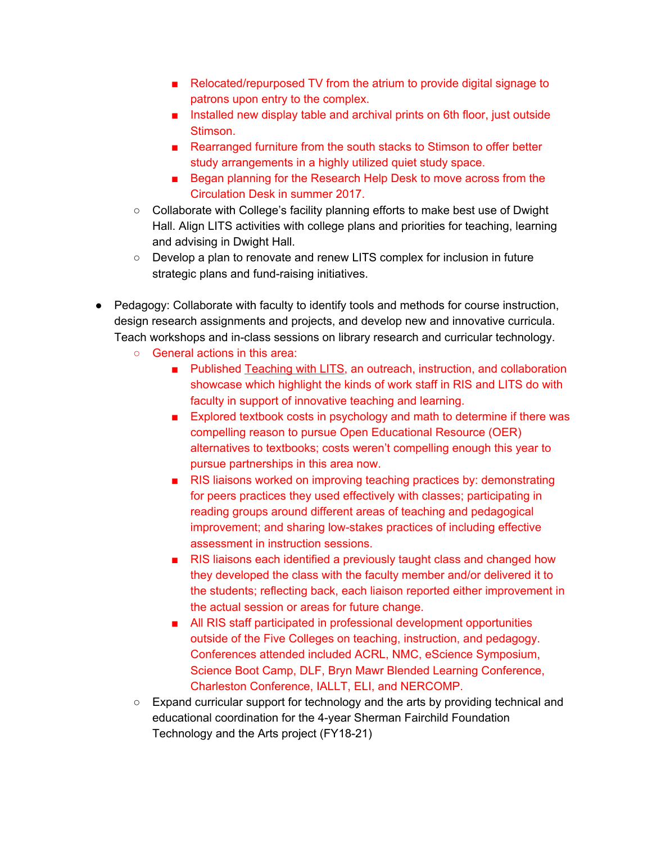- Relocated/repurposed TV from the atrium to provide digital signage to patrons upon entry to the complex.
- Installed new display table and archival prints on 6th floor, just outside Stimson.
- Rearranged furniture from the south stacks to Stimson to offer better study arrangements in a highly utilized quiet study space.
- Began planning for the Research Help Desk to move across from the Circulation Desk in summer 2017.
- Collaborate with College's facility planning efforts to make best use of Dwight Hall. Align LITS activities with college plans and priorities for teaching, learning and advising in Dwight Hall.
- Develop a plan to renovate and renew LITS complex for inclusion in future strategic plans and fund-raising initiatives.
- Pedagogy: Collaborate with faculty to identify tools and methods for course instruction, design research assignments and projects, and develop new and innovative curricula. Teach workshops and in-class sessions on library research and curricular technology.
	- General actions in this area:
		- Published [Teaching](https://www.mtholyoke.edu/lits/learn/teaching-lits) with LITS, an outreach, instruction, and collaboration showcase which highlight the kinds of work staff in RIS and LITS do with faculty in support of innovative teaching and learning.
		- Explored textbook costs in psychology and math to determine if there was compelling reason to pursue Open Educational Resource (OER) alternatives to textbooks; costs weren't compelling enough this year to pursue partnerships in this area now.
		- RIS liaisons worked on improving teaching practices by: demonstrating for peers practices they used effectively with classes; participating in reading groups around different areas of teaching and pedagogical improvement; and sharing low-stakes practices of including effective assessment in instruction sessions.
		- RIS liaisons each identified a previously taught class and changed how they developed the class with the faculty member and/or delivered it to the students; reflecting back, each liaison reported either improvement in the actual session or areas for future change.
		- All RIS staff participated in professional development opportunities outside of the Five Colleges on teaching, instruction, and pedagogy. Conferences attended included ACRL, NMC, eScience Symposium, Science Boot Camp, DLF, Bryn Mawr Blended Learning Conference, Charleston Conference, IALLT, ELI, and NERCOMP.
	- Expand curricular support for technology and the arts by providing technical and educational coordination for the 4-year Sherman Fairchild Foundation Technology and the Arts project (FY18-21)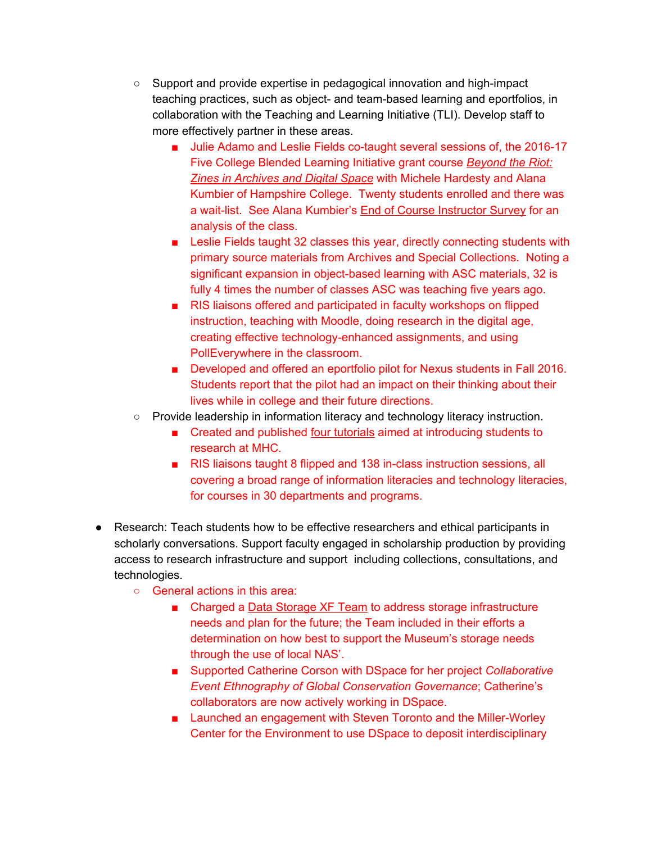- Support and provide expertise in pedagogical innovation and high-impact teaching practices, such as object- and team-based learning and eportfolios, in collaboration with the Teaching and Learning Initiative (TLI). Develop staff to more effectively partner in these areas.
	- Julie Adamo and Leslie Fields co-taught several sessions of, the 2016-17 Five College Blended Learning Initiative grant course *[Beyond](https://www.fivecolleges.edu/blended/our-projects/2016-2017/node/145901) the Riot: Zines in [Archives](https://www.fivecolleges.edu/blended/our-projects/2016-2017/node/145901) and Digital Space* with Michele Hardesty and Alana Kumbier of Hampshire College. Twenty students enrolled and there was a wait-list. See Alana Kumbier's End of Course [Instructor](https://drive.google.com/open?id=0B74sBQdl5RWlaDAxNW5pMTNaR1pNeTUtWWF3bUl3ZEp3bjI4) Survey for an analysis of the class.
	- Leslie Fields taught 32 classes this year, directly connecting students with primary source materials from Archives and Special Collections. Noting a significant expansion in object-based learning with ASC materials, 32 is fully 4 times the number of classes ASC was teaching five years ago.
	- RIS liaisons offered and participated in faculty workshops on flipped instruction, teaching with Moodle, doing research in the digital age, creating effective technology-enhanced assignments, and using PollEverywhere in the classroom.
	- Developed and offered an eportfolio pilot for Nexus students in Fall 2016. Students report that the pilot had an impact on their thinking about their lives while in college and their future directions.
- Provide leadership in information literacy and technology literacy instruction.
	- Created and published <u>four [tutorials](http://guides.mtholyoke.edu/intro-research)</u> aimed at introducing students to research at MHC.
	- RIS liaisons taught 8 flipped and 138 in-class instruction sessions, all covering a broad range of information literacies and technology literacies, for courses in 30 departments and programs.
- Research: Teach students how to be effective researchers and ethical participants in scholarly conversations. Support faculty engaged in scholarship production by providing access to research infrastructure and support including collections, consultations, and technologies.
	- *○* General actions in this area:
		- Charged a Data [Storage](https://drive.google.com/open?id=1U96Dd3X1zjBvylH2pSrwHtFNCYmCEcYzi-yku05KTmA) XF Team to address storage infrastructure needs and plan for the future; the Team included in their efforts a determination on how best to support the Museum's storage needs through the use of local NAS'.
		- Supported Catherine Corson with DSpace for her project *Collaborative Event Ethnography of Global Conservation Governance*; Catherine's collaborators are now actively working in DSpace.
		- Launched an engagement with Steven Toronto and the Miller-Worley Center for the Environment to use DSpace to deposit interdisciplinary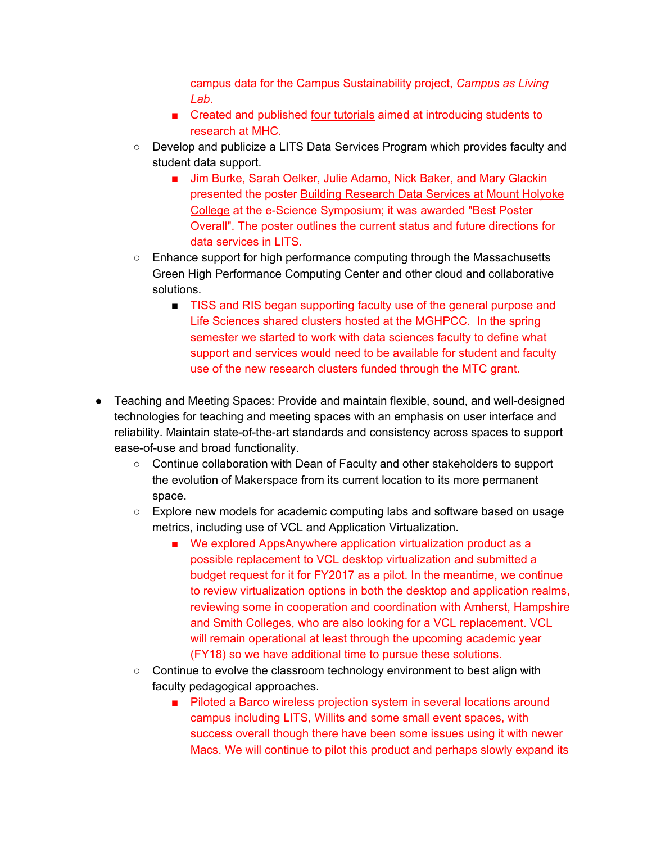campus data for the Campus Sustainability project, *Campus as Living Lab*.

- Created and published four [tutorials](http://guides.mtholyoke.edu/intro-research) aimed at introducing students to research at MHC.
- Develop and publicize a LITS Data Services Program which provides faculty and student data support.
	- Jim Burke, Sarah Oelker, Julie Adamo, Nick Baker, and Mary Glackin presented the poster Building [Research](http://escholarship.umassmed.edu/escience_symposium/2017/posters/8/) Data Services at Mount Holyoke [College](http://escholarship.umassmed.edu/escience_symposium/2017/posters/8/) at the e-Science Symposium; it was awarded "Best Poster Overall". The poster outlines the current status and future directions for data services in LITS.
- Enhance support for high performance computing through the Massachusetts Green High Performance Computing Center and other cloud and collaborative solutions.
	- TISS and RIS began supporting faculty use of the general purpose and Life Sciences shared clusters hosted at the MGHPCC. In the spring semester we started to work with data sciences faculty to define what support and services would need to be available for student and faculty use of the new research clusters funded through the MTC grant.
- Teaching and Meeting Spaces: Provide and maintain flexible, sound, and well-designed technologies for teaching and meeting spaces with an emphasis on user interface and reliability. Maintain state-of-the-art standards and consistency across spaces to support ease-of-use and broad functionality.
	- Continue collaboration with Dean of Faculty and other stakeholders to support the evolution of Makerspace from its current location to its more permanent space.
	- Explore new models for academic computing labs and software based on usage metrics, including use of VCL and Application Virtualization.
		- We explored AppsAnywhere application virtualization product as a possible replacement to VCL desktop virtualization and submitted a budget request for it for FY2017 as a pilot. In the meantime, we continue to review virtualization options in both the desktop and application realms, reviewing some in cooperation and coordination with Amherst, Hampshire and Smith Colleges, who are also looking for a VCL replacement. VCL will remain operational at least through the upcoming academic year (FY18) so we have additional time to pursue these solutions.
	- Continue to evolve the classroom technology environment to best align with faculty pedagogical approaches.
		- Piloted a Barco wireless projection system in several locations around campus including LITS, Willits and some small event spaces, with success overall though there have been some issues using it with newer Macs. We will continue to pilot this product and perhaps slowly expand its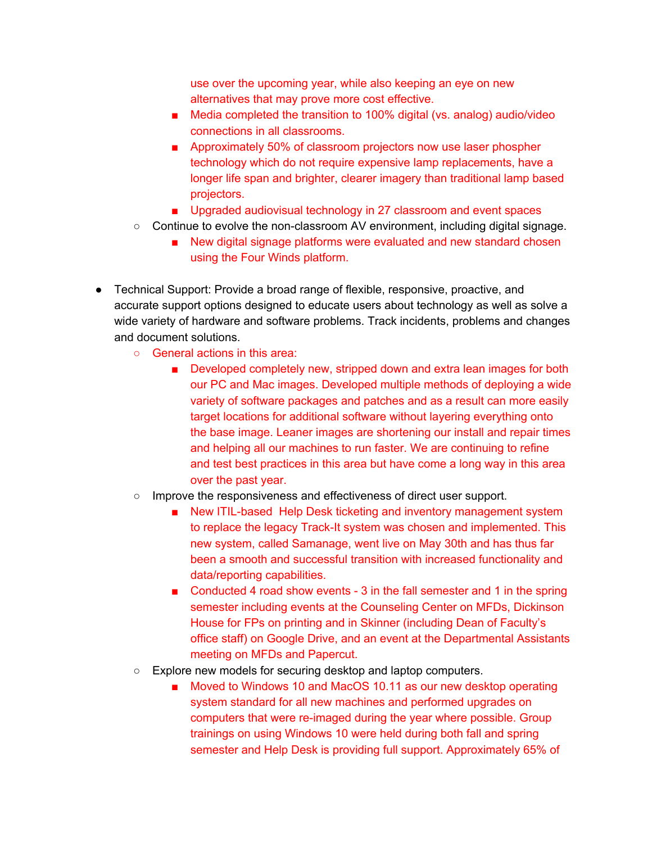use over the upcoming year, while also keeping an eye on new alternatives that may prove more cost effective.

- Media completed the transition to 100% digital (vs. analog) audio/video connections in all classrooms.
- Approximately 50% of classroom projectors now use laser phospher technology which do not require expensive lamp replacements, have a longer life span and brighter, clearer imagery than traditional lamp based projectors.
- Upgraded audiovisual technology in 27 classroom and event spaces
- $\circ$  Continue to evolve the non-classroom AV environment, including digital signage.
	- New digital signage platforms were evaluated and new standard chosen using the Four Winds platform.
- Technical Support: Provide a broad range of flexible, responsive, proactive, and accurate support options designed to educate users about technology as well as solve a wide variety of hardware and software problems. Track incidents, problems and changes and document solutions.
	- General actions in this area:
		- Developed completely new, stripped down and extra lean images for both our PC and Mac images. Developed multiple methods of deploying a wide variety of software packages and patches and as a result can more easily target locations for additional software without layering everything onto the base image. Leaner images are shortening our install and repair times and helping all our machines to run faster. We are continuing to refine and test best practices in this area but have come a long way in this area over the past year.
	- Improve the responsiveness and effectiveness of direct user support.
		- New ITIL-based Help Desk ticketing and inventory management system to replace the legacy Track-It system was chosen and implemented. This new system, called Samanage, went live on May 30th and has thus far been a smooth and successful transition with increased functionality and data/reporting capabilities.
		- Conducted 4 road show events 3 in the fall semester and 1 in the spring semester including events at the Counseling Center on MFDs, Dickinson House for FPs on printing and in Skinner (including Dean of Faculty's office staff) on Google Drive, and an event at the Departmental Assistants meeting on MFDs and Papercut.
	- Explore new models for securing desktop and laptop computers.
		- Moved to Windows 10 and MacOS 10.11 as our new desktop operating system standard for all new machines and performed upgrades on computers that were re-imaged during the year where possible. Group trainings on using Windows 10 were held during both fall and spring semester and Help Desk is providing full support. Approximately 65% of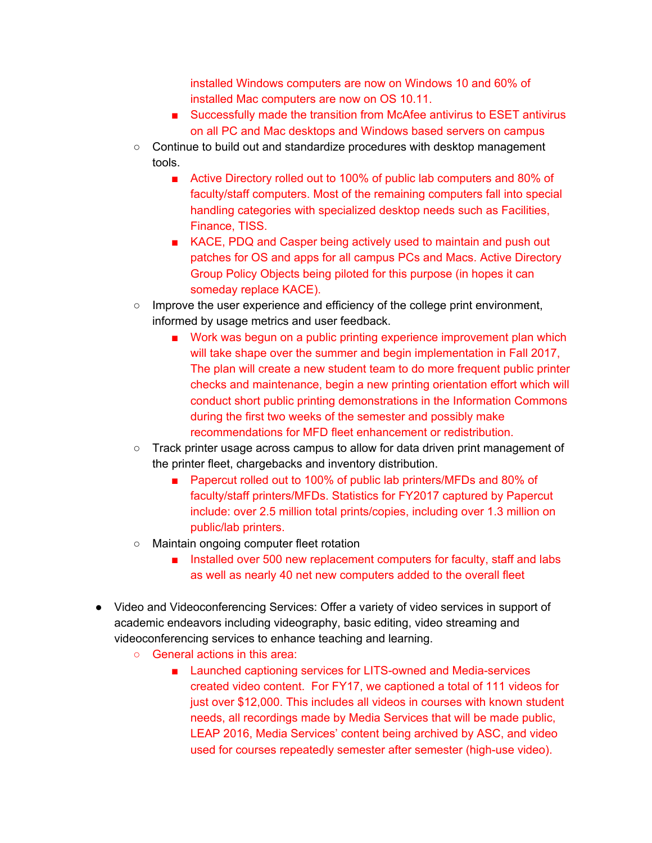installed Windows computers are now on Windows 10 and 60% of installed Mac computers are now on OS 10.11.

- Successfully made the transition from McAfee antivirus to ESET antivirus on all PC and Mac desktops and Windows based servers on campus
- Continue to build out and standardize procedures with desktop management tools.
	- Active Directory rolled out to 100% of public lab computers and 80% of faculty/staff computers. Most of the remaining computers fall into special handling categories with specialized desktop needs such as Facilities, Finance, TISS.
	- KACE, PDQ and Casper being actively used to maintain and push out patches for OS and apps for all campus PCs and Macs. Active Directory Group Policy Objects being piloted for this purpose (in hopes it can someday replace KACE).
- Improve the user experience and efficiency of the college print environment, informed by usage metrics and user feedback.
	- Work was begun on a public printing experience improvement plan which will take shape over the summer and begin implementation in Fall 2017, The plan will create a new student team to do more frequent public printer checks and maintenance, begin a new printing orientation effort which will conduct short public printing demonstrations in the Information Commons during the first two weeks of the semester and possibly make recommendations for MFD fleet enhancement or redistribution.
- Track printer usage across campus to allow for data driven print management of the printer fleet, chargebacks and inventory distribution.
	- Papercut rolled out to 100% of public lab printers/MFDs and 80% of faculty/staff printers/MFDs. Statistics for FY2017 captured by Papercut include: over 2.5 million total prints/copies, including over 1.3 million on public/lab printers.
- Maintain ongoing computer fleet rotation
	- Installed over 500 new replacement computers for faculty, staff and labs as well as nearly 40 net new computers added to the overall fleet
- Video and Videoconferencing Services: Offer a variety of video services in support of academic endeavors including videography, basic editing, video streaming and videoconferencing services to enhance teaching and learning.
	- General actions in this area:
		- Launched captioning services for LITS-owned and Media-services created video content. For FY17, we captioned a total of 111 videos for just over \$12,000. This includes all videos in courses with known student needs, all recordings made by Media Services that will be made public, LEAP 2016, Media Services' content being archived by ASC, and video used for courses repeatedly semester after semester (high-use video).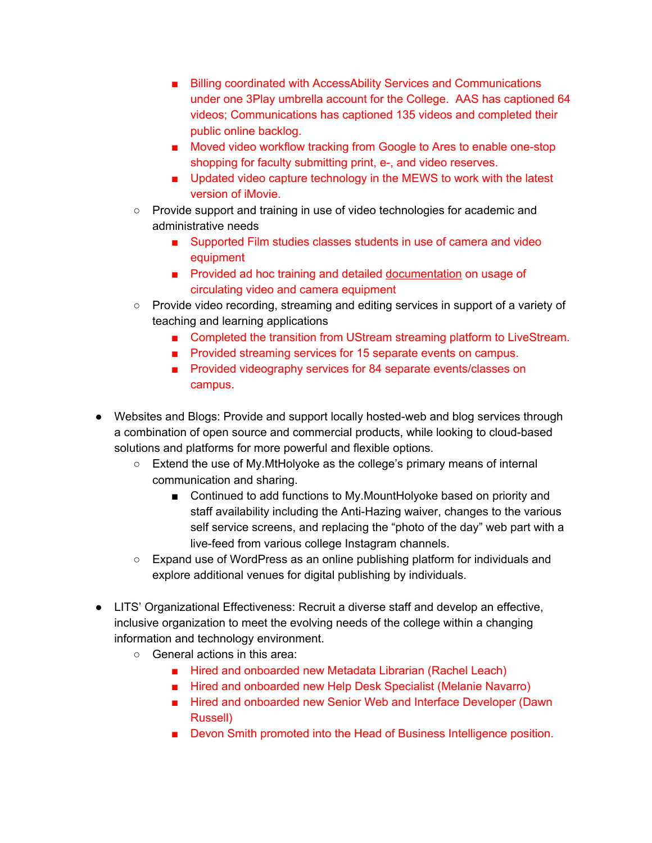- Billing coordinated with AccessAbility Services and Communications under one 3Play umbrella account for the College. AAS has captioned 64 videos; Communications has captioned 135 videos and completed their public online backlog.
- Moved video workflow tracking from Google to Ares to enable one-stop shopping for faculty submitting print, e-, and video reserves.
- Updated video capture technology in the MEWS to work with the latest version of iMovie.
- Provide support and training in use of video technologies for academic and administrative needs
	- Supported Film studies classes students in use of camera and video equipment
	- Provided ad hoc training and detailed [documentation](https://drive.google.com/drive/folders/0B35IZ2SsoKjib3ZCWGJva25HSlk?usp=sharing) on usage of circulating video and camera equipment
- Provide video recording, streaming and editing services in support of a variety of teaching and learning applications
	- Completed the transition from UStream streaming platform to LiveStream.
	- Provided streaming services for 15 separate events on campus.
	- Provided videography services for 84 separate events/classes on campus.
- Websites and Blogs: Provide and support locally hosted-web and blog services through a combination of open source and commercial products, while looking to cloud-based solutions and platforms for more powerful and flexible options.
	- Extend the use of My.MtHolyoke as the college's primary means of internal communication and sharing.
		- Continued to add functions to My.MountHolyoke based on priority and staff availability including the Anti-Hazing waiver, changes to the various self service screens, and replacing the "photo of the day" web part with a live-feed from various college Instagram channels.
	- Expand use of WordPress as an online publishing platform for individuals and explore additional venues for digital publishing by individuals.
- LITS' Organizational Effectiveness: Recruit a diverse staff and develop an effective, inclusive organization to meet the evolving needs of the college within a changing information and technology environment.
	- General actions in this area:
		- Hired and onboarded new Metadata Librarian (Rachel Leach)
		- Hired and onboarded new Help Desk Specialist (Melanie Navarro)
		- Hired and onboarded new Senior Web and Interface Developer (Dawn Russell)
		- Devon Smith promoted into the Head of Business Intelligence position.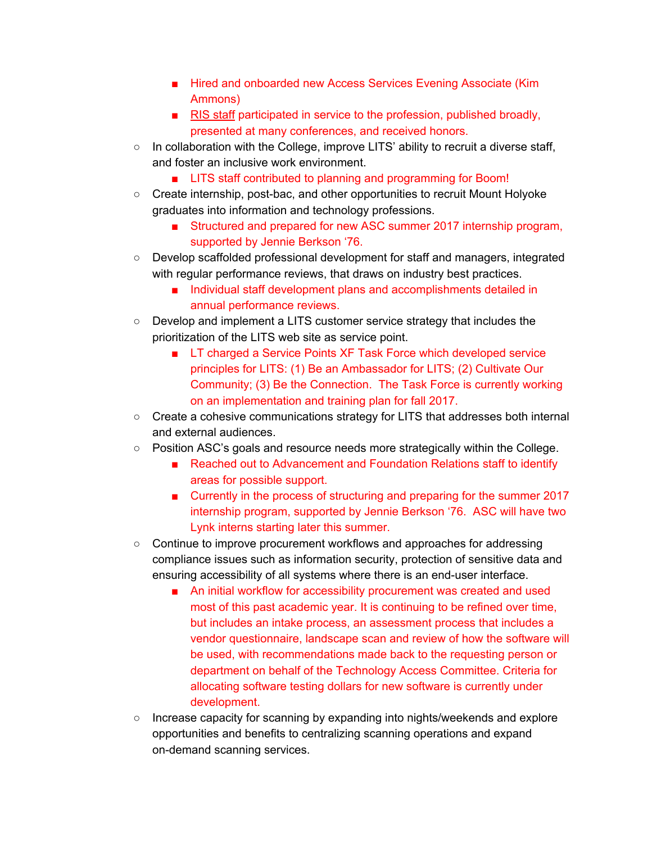- Hired and onboarded new Access Services Evening Associate (Kim Ammons)
- RIS [staff](https://docs.google.com/a/mtholyoke.edu/document/d/1bmvLqCOhhjpFNXdKcsDzA0lA5VLF-BeYbLBCgkVGxn4/edit?usp=sharing) participated in service to the profession, published broadly, presented at many conferences, and received honors.
- $\circ$  In collaboration with the College, improve LITS' ability to recruit a diverse staff, and foster an inclusive work environment.
	- LITS staff contributed to planning and programming for Boom!
- Create internship, post-bac, and other opportunities to recruit Mount Holyoke graduates into information and technology professions.
	- Structured and prepared for new ASC summer 2017 internship program, supported by Jennie Berkson '76.
- Develop scaffolded professional development for staff and managers, integrated with regular performance reviews, that draws on industry best practices.
	- Individual staff development plans and accomplishments detailed in annual performance reviews.
- Develop and implement a LITS customer service strategy that includes the prioritization of the LITS web site as service point.
	- LT charged a Service Points XF Task Force which developed service principles for LITS: (1) Be an Ambassador for LITS; (2) Cultivate Our Community; (3) Be the Connection. The Task Force is currently working on an implementation and training plan for fall 2017.
- Create a cohesive communications strategy for LITS that addresses both internal and external audiences.
- Position ASC's goals and resource needs more strategically within the College.
	- Reached out to Advancement and Foundation Relations staff to identify areas for possible support.
	- Currently in the process of structuring and preparing for the summer 2017 internship program, supported by Jennie Berkson '76. ASC will have two Lynk interns starting later this summer.
- Continue to improve procurement workflows and approaches for addressing compliance issues such as information security, protection of sensitive data and ensuring accessibility of all systems where there is an end-user interface.
	- An initial workflow for accessibility procurement was created and used most of this past academic year. It is continuing to be refined over time, but includes an intake process, an assessment process that includes a vendor questionnaire, landscape scan and review of how the software will be used, with recommendations made back to the requesting person or department on behalf of the Technology Access Committee. Criteria for allocating software testing dollars for new software is currently under development.
- Increase capacity for scanning by expanding into nights/weekends and explore opportunities and benefits to centralizing scanning operations and expand on-demand scanning services.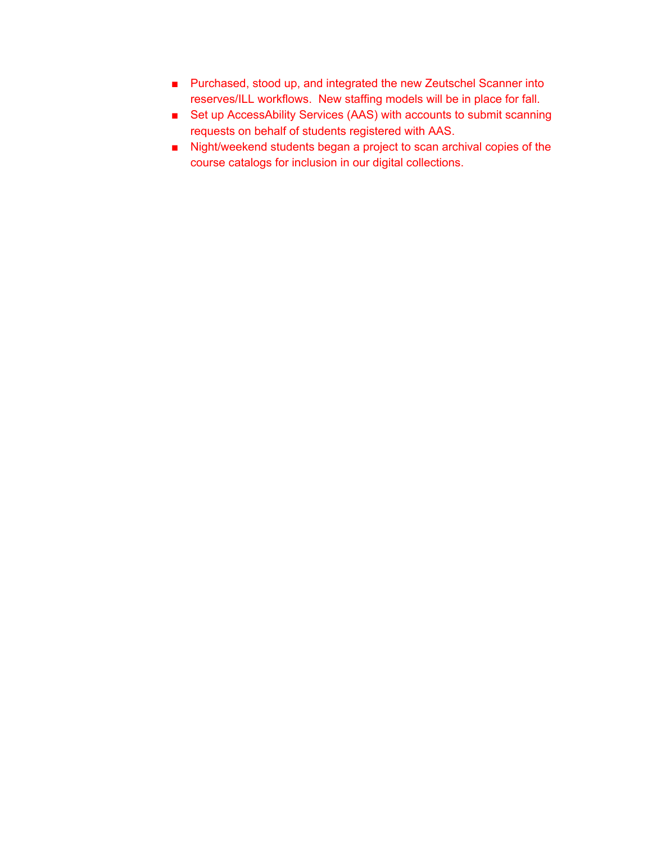- Purchased, stood up, and integrated the new Zeutschel Scanner into reserves/ILL workflows. New staffing models will be in place for fall.
- Set up AccessAbility Services (AAS) with accounts to submit scanning requests on behalf of students registered with AAS.
- Night/weekend students began a project to scan archival copies of the course catalogs for inclusion in our digital collections.